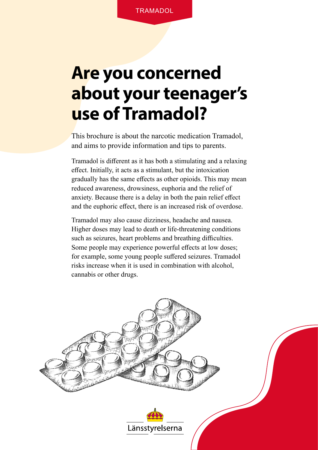# **Are you concerned about your teenager's use of Tramadol?**

This brochure is about the narcotic medication Tramadol, and aims to provide information and tips to parents.

Tramadol is different as it has both a stimulating and a relaxing effect. Initially, it acts as a stimulant, but the intoxication gradually has the same effects as other opioids. This may mean reduced awareness, drowsiness, euphoria and the relief of anxiety. Because there is a delay in both the pain relief effect and the euphoric effect, there is an increased risk of overdose.

Tramadol may also cause dizziness, headache and nausea. Higher doses may lead to death or life-threatening conditions such as seizures, heart problems and breathing difficulties. Some people may experience powerful effects at low doses; for example, some young people suffered seizures. Tramadol risks increase when it is used in combination with alcohol, cannabis or other drugs.

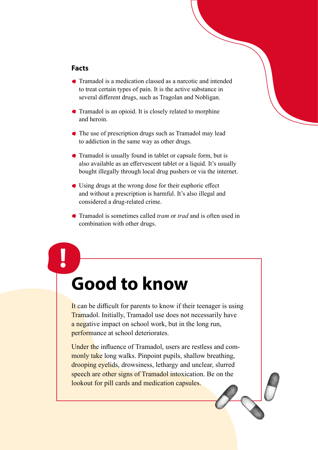#### **Facts**

**!**

- Tramadol is a medication classed as a narcotic and intended to treat certain types of pain. It is the active substance in several different drugs, such as Tragolan and Nobligan.
- Tramadol is an opioid. It is closely related to morphine and heroin.
- The use of prescription drugs such as Tramadol may lead to addiction in the same way as other drugs.
- Tramadol is usually found in tablet or capsule form, but is also available as an effervescent tablet or a liquid. It's usually bought illegally through local drug pushers or via the internet.
- Using drugs at the wrong dose for their euphoric effect and without a prescription is harmful. It's also illegal and considered a drug-related crime.
- Tramadol is sometimes called *tram* or *trad* and is often used in combination with other drugs.

### **Good to know**

It can be difficult for parents to know if their teenager is using Tramadol. Initially, Tramadol use does not necessarily have a negative impact on school work, but in the long run, performance at school deteriorates.

Under the influence of Tramadol, users are restless and commonly take long walks. Pinpoint pupils, shallow breathing, drooping eyelids, drowsiness, lethargy and unclear, slurred speech are other signs of Tramadol intoxication. Be on the lookout for pill cards and medication capsules.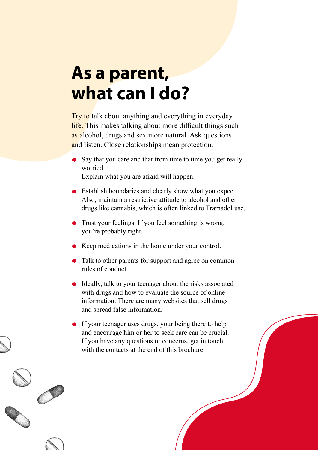## **As a parent, what can I do?**

Try to talk about anything and everything in everyday life. This makes talking about more difficult things such as alcohol, drugs and sex more natural. Ask questions and listen. Close relationships mean protection.

- Say that you care and that from time to time you get really worried. Explain what you are afraid will happen.
- Establish boundaries and clearly show what you expect. Also, maintain a restrictive attitude to alcohol and other drugs like cannabis, which is often linked to Tramadol use.
- Trust your feelings. If you feel something is wrong, you're probably right.
- Keep medications in the home under your control.
- Talk to other parents for support and agree on common rules of conduct.
- Ideally, talk to your teenager about the risks associated with drugs and how to evaluate the source of online information. There are many websites that sell drugs and spread false information.
- If your teenager uses drugs, your being there to help and encourage him or her to seek care can be crucial. If you have any questions or concerns, get in touch with the contacts at the end of this brochure.

 $\overline{a}$